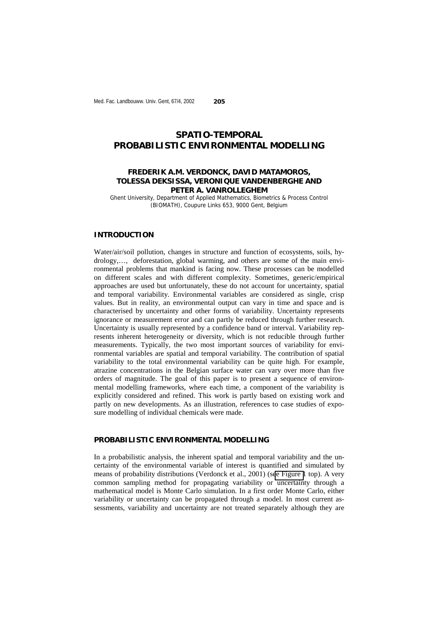# **SPATIO-TEMPORAL PROBABILISTIC ENVIRONMENTAL MODELLING**

## **FREDERIK A.M. VERDONCK, DAVID MATAMOROS, TOLESSA DEKSISSA, VERONIQUE VANDENBERGHE AND PETER A. VANROLLEGHEM**

Ghent University, Department of Applied Mathematics, Biometrics & Process Control (BIOMATH), Coupure Links 653, 9000 Gent, Belgium

#### **INTRODUCTION**

Water/air/soil pollution, changes in structure and function of ecosystems, soils, hydrology,…, deforestation, global warming, and others are some of the main environmental problems that mankind is facing now. These processes can be modelled on different scales and with different complexity. Sometimes, generic/empirical approaches are used but unfortunately, these do not account for uncertainty, spatial and temporal variability. Environmental variables are considered as single, crisp values. But in reality, an environmental output can vary in time and space and is characterised by uncertainty and other forms of variability. Uncertainty represents ignorance or measurement error and can partly be reduced through further research. Uncertainty is usually represented by a confidence band or interval. Variability represents inherent heterogeneity or diversity, which is not reducible through further measurements. Typically, the two most important sources of variability for environmental variables are spatial and temporal variability. The contribution of spatial variability to the total environmental variability can be quite high. For example, atrazine concentrations in the Belgian surface water can vary over more than five orders of magnitude. The goal of this paper is to present a sequence of environmental modelling frameworks, where each time, a component of the variability is explicitly considered and refined. This work is partly based on existing work and partly on new developments. As an illustration, references to case studies of exposure modelling of individual chemicals were made.

#### **PROBABILISTIC ENVIRONMENTAL MODELLING**

In a probabilistic analysis, the inherent spatial and temporal variability and the uncertainty of the environmental variable of interest is quantified and simulated by means of probability distributions (Verdonck et al., 2001) (s[ee Figure 1](#page-1-0) top). A very common sampling method for propagating variability or uncertainty through a mathematical model is Monte Carlo simulation. In a first order Monte Carlo, either variability or uncertainty can be propagated through a model. In most current assessments, variability and uncertainty are not treated separately although they are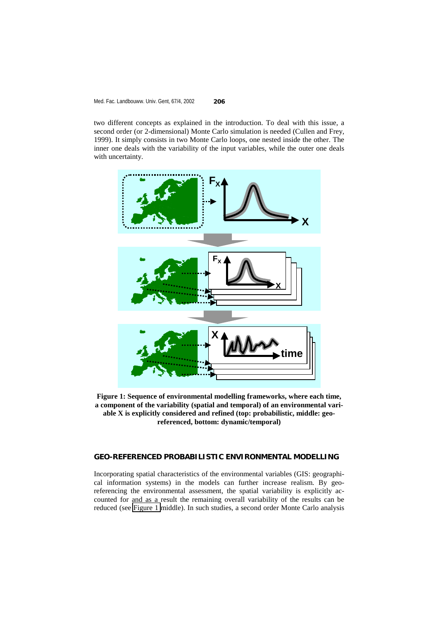<span id="page-1-0"></span>two different concepts as explained in the introduction. To deal with this issue, a second order (or 2-dimensional) Monte Carlo simulation is needed (Cullen and Frey, 1999). It simply consists in two Monte Carlo loops, one nested inside the other. The inner one deals with the variability of the input variables, while the outer one deals with uncertainty.



**Figure 1: Sequence of environmental modelling frameworks, where each time, a component of the variability (spatial and temporal) of an environmental variable X is explicitly considered and refined (top: probabilistic, middle: georeferenced, bottom: dynamic/temporal)** 

# **GEO-REFERENCED PROBABILISTIC ENVIRONMENTAL MODELLING**

Incorporating spatial characteristics of the environmental variables (GIS: geographical information systems) in the models can further increase realism. By georeferencing the environmental assessment, the spatial variability is explicitly accounted for and as a result the remaining overall variability of the results can be reduced (see Figure 1 middle). In such studies, a second order Monte Carlo analysis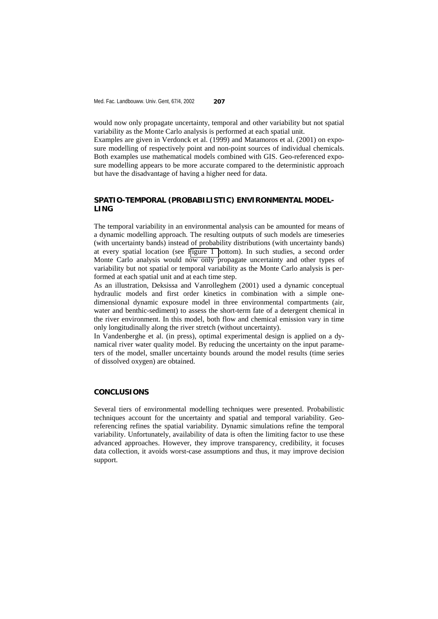would now only propagate uncertainty, temporal and other variability but not spatial variability as the Monte Carlo analysis is performed at each spatial unit.

Examples are given in Verdonck et al. (1999) and Matamoros et al. (2001) on exposure modelling of respectively point and non-point sources of individual chemicals. Both examples use mathematical models combined with GIS. Geo-referenced exposure modelling appears to be more accurate compared to the deterministic approach but have the disadvantage of having a higher need for data.

# **SPATIO-TEMPORAL (PROBABILISTIC) ENVIRONMENTAL MODEL-LING**

The temporal variability in an environmental analysis can be amounted for means of a dynamic modelling approach. The resulting outputs of such models are timeseries (with uncertainty bands) instead of probability distributions (with uncertainty bands) at every spatial location (see [Figure 1 b](#page-1-0)ottom). In such studies, a second order Monte Carlo analysis would now only propagate uncertainty and other types of variability but not spatial or temporal variability as the Monte Carlo analysis is performed at each spatial unit and at each time step.

As an illustration, Deksissa and Vanrolleghem (2001) used a dynamic conceptual hydraulic models and first order kinetics in combination with a simple onedimensional dynamic exposure model in three environmental compartments (air, water and benthic-sediment) to assess the short-term fate of a detergent chemical in the river environment. In this model, both flow and chemical emission vary in time only longitudinally along the river stretch (without uncertainty).

In Vandenberghe et al. (in press), optimal experimental design is applied on a dynamical river water quality model. By reducing the uncertainty on the input parameters of the model, smaller uncertainty bounds around the model results (time series of dissolved oxygen) are obtained.

# **CONCLUSIONS**

Several tiers of environmental modelling techniques were presented. Probabilistic techniques account for the uncertainty and spatial and temporal variability. Georeferencing refines the spatial variability. Dynamic simulations refine the temporal variability. Unfortunately, availability of data is often the limiting factor to use these advanced approaches. However, they improve transparency, credibility, it focuses data collection, it avoids worst-case assumptions and thus, it may improve decision support.